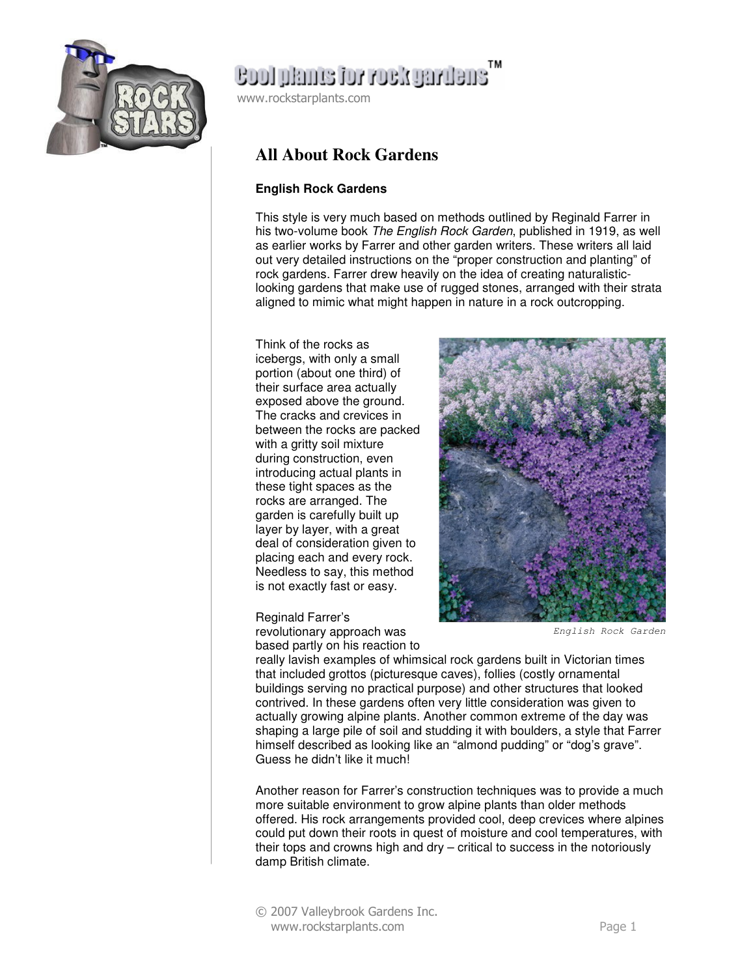

# ensilvägov voi email loos

www.rockstarplants.com

### **All About Rock Gardens**

### **English Rock Gardens**

This style is very much based on methods outlined by Reginald Farrer in his two-volume book The English Rock Garden, published in 1919, as well as earlier works by Farrer and other garden writers. These writers all laid out very detailed instructions on the "proper construction and planting" of rock gardens. Farrer drew heavily on the idea of creating naturalisticlooking gardens that make use of rugged stones, arranged with their strata aligned to mimic what might happen in nature in a rock outcropping.

Think of the rocks as icebergs, with only a small portion (about one third) of their surface area actually exposed above the ground. The cracks and crevices in between the rocks are packed with a gritty soil mixture during construction, even introducing actual plants in these tight spaces as the rocks are arranged. The garden is carefully built up layer by layer, with a great deal of consideration given to placing each and every rock. Needless to say, this method is not exactly fast or easy.

Reginald Farrer's

revolutionary approach was based partly on his reaction to



English Rock Garden

really lavish examples of whimsical rock gardens built in Victorian times that included grottos (picturesque caves), follies (costly ornamental buildings serving no practical purpose) and other structures that looked contrived. In these gardens often very little consideration was given to actually growing alpine plants. Another common extreme of the day was shaping a large pile of soil and studding it with boulders, a style that Farrer himself described as looking like an "almond pudding" or "dog's grave". Guess he didn't like it much!

Another reason for Farrer's construction techniques was to provide a much more suitable environment to grow alpine plants than older methods offered. His rock arrangements provided cool, deep crevices where alpines could put down their roots in quest of moisture and cool temperatures, with their tops and crowns high and dry – critical to success in the notoriously damp British climate.

© 2007 Valleybrook Gardens Inc. www.rockstarplants.com Page 1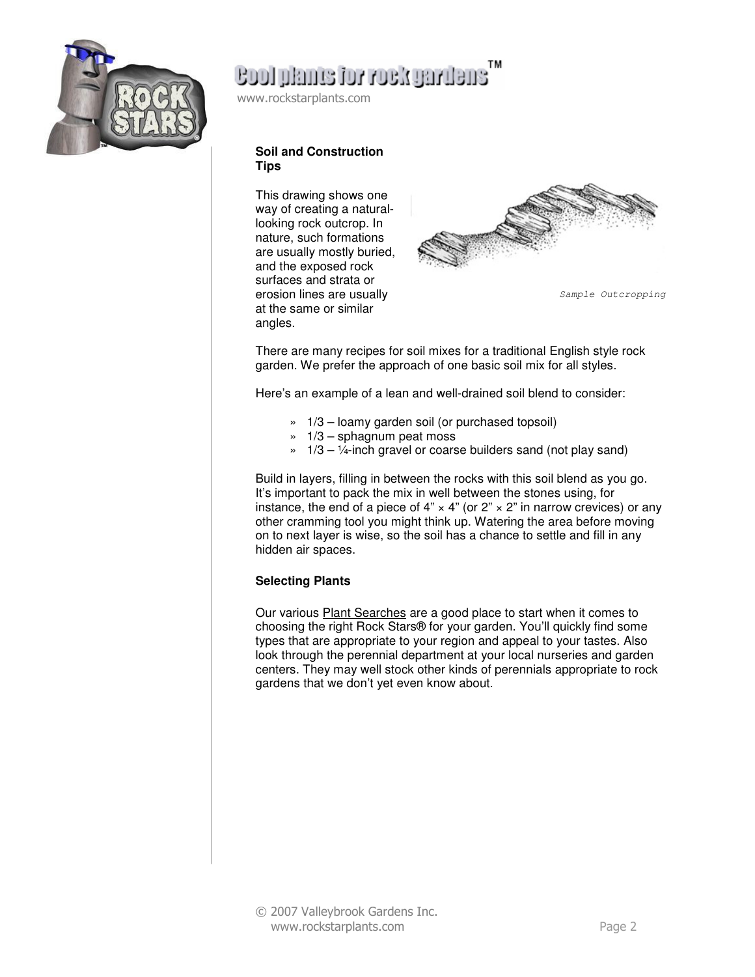

# ensuring Noor rot enmal loos

www.rockstarplants.com

#### **Soil and Construction Tips**

This drawing shows one way of creating a naturallooking rock outcrop. In nature, such formations are usually mostly buried, and the exposed rock surfaces and strata or erosion lines are usually at the same or similar angles.



Sample Outcropping

There are many recipes for soil mixes for a traditional English style rock garden. We prefer the approach of one basic soil mix for all styles.

Here's an example of a lean and well-drained soil blend to consider:

- » 1/3 loamy garden soil (or purchased topsoil)
- $\approx$  1/3 sphagnum peat moss
- $\frac{1}{3}$  1/3 1/4-inch gravel or coarse builders sand (not play sand)

Build in layers, filling in between the rocks with this soil blend as you go. It's important to pack the mix in well between the stones using, for instance, the end of a piece of 4"  $\times$  4" (or 2"  $\times$  2" in narrow crevices) or any other cramming tool you might think up. Watering the area before moving on to next layer is wise, so the soil has a chance to settle and fill in any hidden air spaces.

#### **Selecting Plants**

Our various Plant Searches are a good place to start when it comes to choosing the right Rock Stars® for your garden. You'll quickly find some types that are appropriate to your region and appeal to your tastes. Also look through the perennial department at your local nurseries and garden centers. They may well stock other kinds of perennials appropriate to rock gardens that we don't yet even know about.